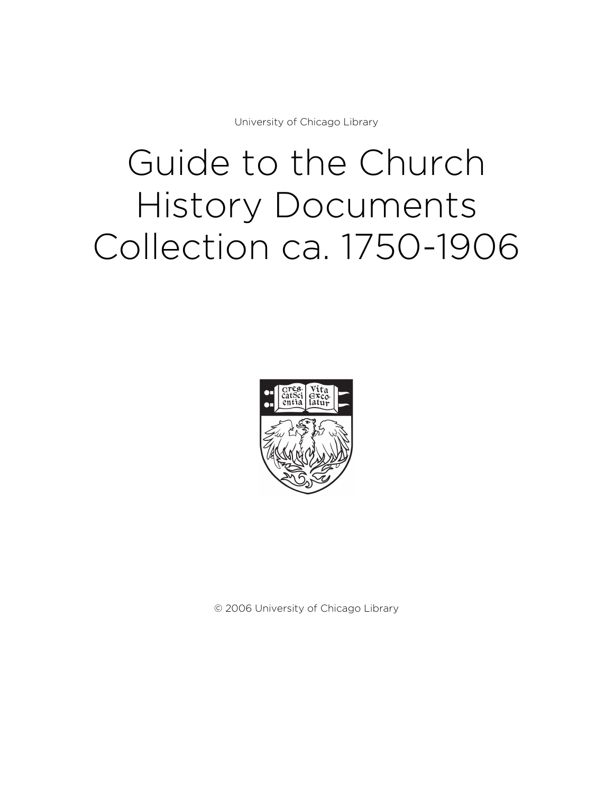University of Chicago Library

# Guide to the Church History Documents Collection ca. 1750-1906



© 2006 University of Chicago Library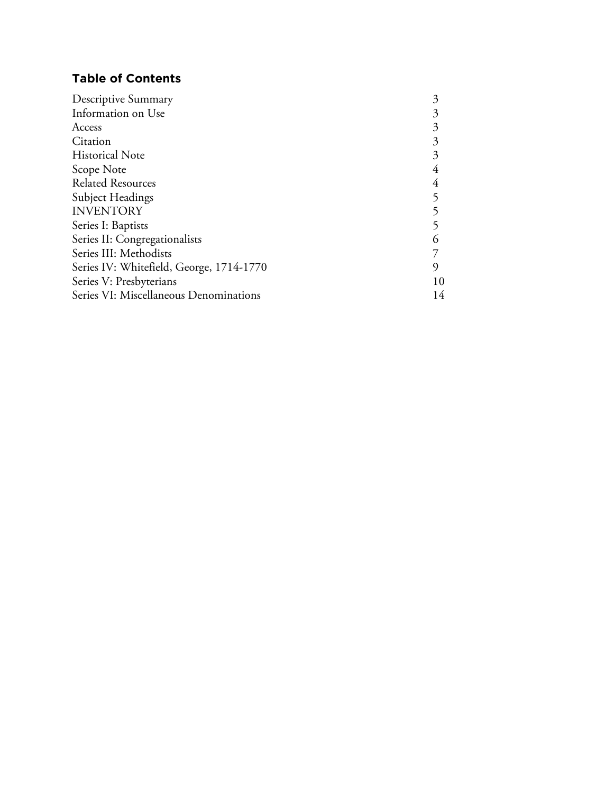# **Table of Contents**

| Descriptive Summary                      | 3  |
|------------------------------------------|----|
| Information on Use                       |    |
| Access                                   | 3  |
| Citation                                 | 3  |
| <b>Historical Note</b>                   | 3  |
| Scope Note                               |    |
| <b>Related Resources</b>                 |    |
| Subject Headings                         |    |
| <b>INVENTORY</b>                         |    |
| Series I: Baptists                       |    |
| Series II: Congregationalists            |    |
| Series III: Methodists                   |    |
| Series IV: Whitefield, George, 1714-1770 | 9  |
| Series V: Presbyterians                  | 10 |
| Series VI: Miscellaneous Denominations   | 14 |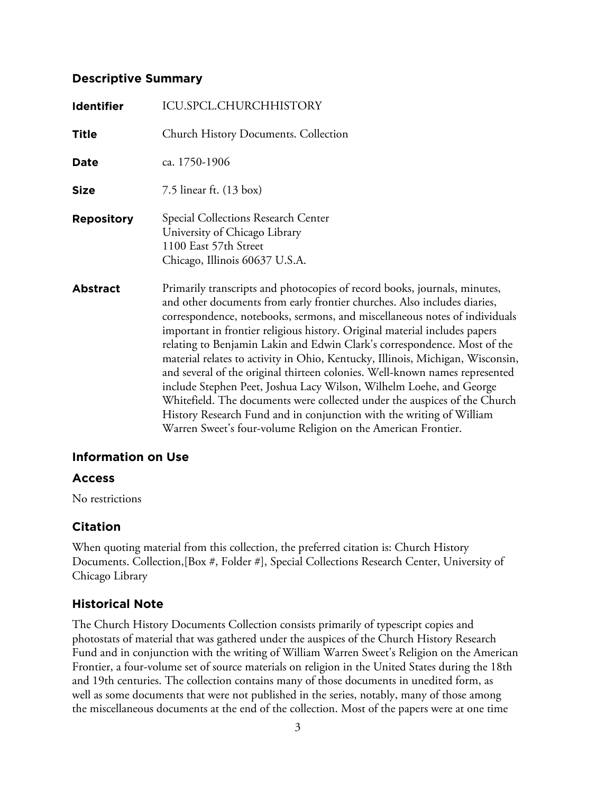# **Descriptive Summary**

| <b>Identifier</b> | ICU.SPCL.CHURCHHISTORY                                                                                                                                                                                                                                                                                                                                                                                                                                                                                                                                                                                                                                                                                                                                                                                                                                      |
|-------------------|-------------------------------------------------------------------------------------------------------------------------------------------------------------------------------------------------------------------------------------------------------------------------------------------------------------------------------------------------------------------------------------------------------------------------------------------------------------------------------------------------------------------------------------------------------------------------------------------------------------------------------------------------------------------------------------------------------------------------------------------------------------------------------------------------------------------------------------------------------------|
| <b>Title</b>      | <b>Church History Documents. Collection</b>                                                                                                                                                                                                                                                                                                                                                                                                                                                                                                                                                                                                                                                                                                                                                                                                                 |
| <b>Date</b>       | ca. 1750-1906                                                                                                                                                                                                                                                                                                                                                                                                                                                                                                                                                                                                                                                                                                                                                                                                                                               |
| <b>Size</b>       | 7.5 linear ft. $(13 \text{ box})$                                                                                                                                                                                                                                                                                                                                                                                                                                                                                                                                                                                                                                                                                                                                                                                                                           |
| <b>Repository</b> | Special Collections Research Center<br>University of Chicago Library<br>1100 East 57th Street<br>Chicago, Illinois 60637 U.S.A.                                                                                                                                                                                                                                                                                                                                                                                                                                                                                                                                                                                                                                                                                                                             |
| <b>Abstract</b>   | Primarily transcripts and photocopies of record books, journals, minutes,<br>and other documents from early frontier churches. Also includes diaries,<br>correspondence, notebooks, sermons, and miscellaneous notes of individuals<br>important in frontier religious history. Original material includes papers<br>relating to Benjamin Lakin and Edwin Clark's correspondence. Most of the<br>material relates to activity in Ohio, Kentucky, Illinois, Michigan, Wisconsin,<br>and several of the original thirteen colonies. Well-known names represented<br>include Stephen Peet, Joshua Lacy Wilson, Wilhelm Loehe, and George<br>Whitefield. The documents were collected under the auspices of the Church<br>History Research Fund and in conjunction with the writing of William<br>Warren Sweet's four-volume Religion on the American Frontier. |

## **Information on Use**

## **Access**

No restrictions

# **Citation**

When quoting material from this collection, the preferred citation is: Church History Documents. Collection,[Box #, Folder #], Special Collections Research Center, University of Chicago Library

# **Historical Note**

The Church History Documents Collection consists primarily of typescript copies and photostats of material that was gathered under the auspices of the Church History Research Fund and in conjunction with the writing of William Warren Sweet's Religion on the American Frontier, a four-volume set of source materials on religion in the United States during the 18th and 19th centuries. The collection contains many of those documents in unedited form, as well as some documents that were not published in the series, notably, many of those among the miscellaneous documents at the end of the collection. Most of the papers were at one time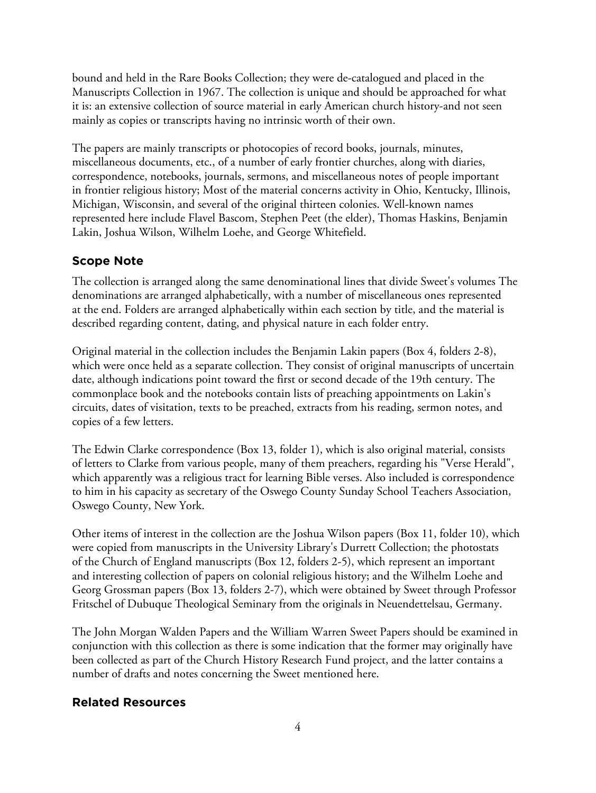bound and held in the Rare Books Collection; they were de-catalogued and placed in the Manuscripts Collection in 1967. The collection is unique and should be approached for what it is: an extensive collection of source material in early American church history-and not seen mainly as copies or transcripts having no intrinsic worth of their own.

The papers are mainly transcripts or photocopies of record books, journals, minutes, miscellaneous documents, etc., of a number of early frontier churches, along with diaries, correspondence, notebooks, journals, sermons, and miscellaneous notes of people important in frontier religious history; Most of the material concerns activity in Ohio, Kentucky, Illinois, Michigan, Wisconsin, and several of the original thirteen colonies. Well-known names represented here include Flavel Bascom, Stephen Peet (the elder), Thomas Haskins, Benjamin Lakin, Joshua Wilson, Wilhelm Loehe, and George Whitefield.

# **Scope Note**

The collection is arranged along the same denominational lines that divide Sweet's volumes The denominations are arranged alphabetically, with a number of miscellaneous ones represented at the end. Folders are arranged alphabetically within each section by title, and the material is described regarding content, dating, and physical nature in each folder entry.

Original material in the collection includes the Benjamin Lakin papers (Box 4, folders 2-8), which were once held as a separate collection. They consist of original manuscripts of uncertain date, although indications point toward the first or second decade of the 19th century. The commonplace book and the notebooks contain lists of preaching appointments on Lakin's circuits, dates of visitation, texts to be preached, extracts from his reading, sermon notes, and copies of a few letters.

The Edwin Clarke correspondence (Box 13, folder 1), which is also original material, consists of letters to Clarke from various people, many of them preachers, regarding his "Verse Herald", which apparently was a religious tract for learning Bible verses. Also included is correspondence to him in his capacity as secretary of the Oswego County Sunday School Teachers Association, Oswego County, New York.

Other items of interest in the collection are the Joshua Wilson papers (Box 11, folder 10), which were copied from manuscripts in the University Library's Durrett Collection; the photostats of the Church of England manuscripts (Box 12, folders 2-5), which represent an important and interesting collection of papers on colonial religious history; and the Wilhelm Loehe and Georg Grossman papers (Box 13, folders 2-7), which were obtained by Sweet through Professor Fritschel of Dubuque Theological Seminary from the originals in Neuendettelsau, Germany.

The John Morgan Walden Papers and the William Warren Sweet Papers should be examined in conjunction with this collection as there is some indication that the former may originally have been collected as part of the Church History Research Fund project, and the latter contains a number of drafts and notes concerning the Sweet mentioned here.

# **Related Resources**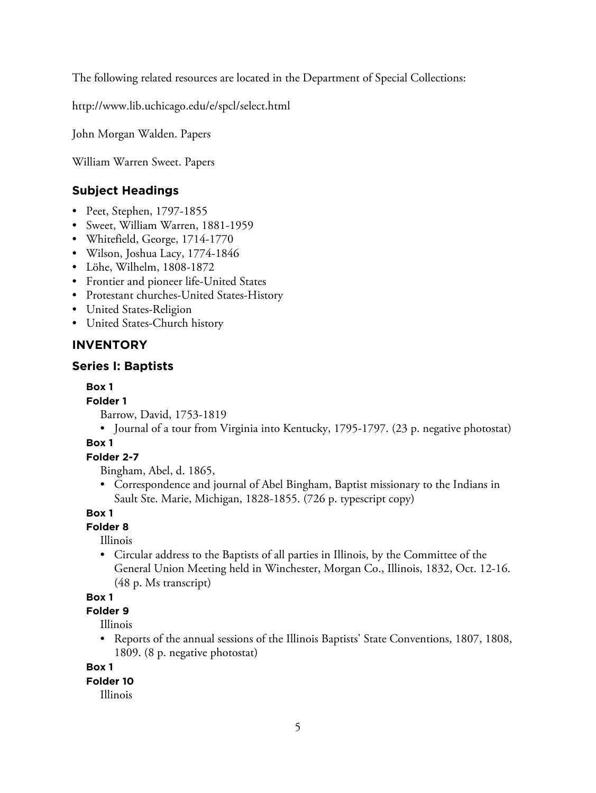The following related resources are located in the Department of Special Collections:

http://www.lib.uchicago.edu/e/spcl/select.html

John Morgan Walden. Papers

William Warren Sweet. Papers

# **Subject Headings**

- Peet, Stephen, 1797-1855
- Sweet, William Warren, 1881-1959
- Whitefield, George, 1714-1770
- Wilson, Joshua Lacy, 1774-1846
- Löhe, Wilhelm, 1808-1872
- Frontier and pioneer life-United States
- Protestant churches-United States-History
- United States-Religion
- United States-Church history

# **INVENTORY**

# **Series I: Baptists**

## **Box 1**

## **Folder 1**

Barrow, David, 1753-1819

• Journal of a tour from Virginia into Kentucky, 1795-1797. (23 p. negative photostat)

# **Box 1**

# **Folder 2-7**

Bingham, Abel, d. 1865,

• Correspondence and journal of Abel Bingham, Baptist missionary to the Indians in Sault Ste. Marie, Michigan, 1828-1855. (726 p. typescript copy)

#### **Box 1**

# **Folder 8**

Illinois

• Circular address to the Baptists of all parties in Illinois, by the Committee of the General Union Meeting held in Winchester, Morgan Co., Illinois, 1832, Oct. 12-16. (48 p. Ms transcript)

## **Box 1**

# **Folder 9**

Illinois

• Reports of the annual sessions of the Illinois Baptists' State Conventions, 1807, 1808, 1809. (8 p. negative photostat)

## **Box 1**

## **Folder 10**

Illinois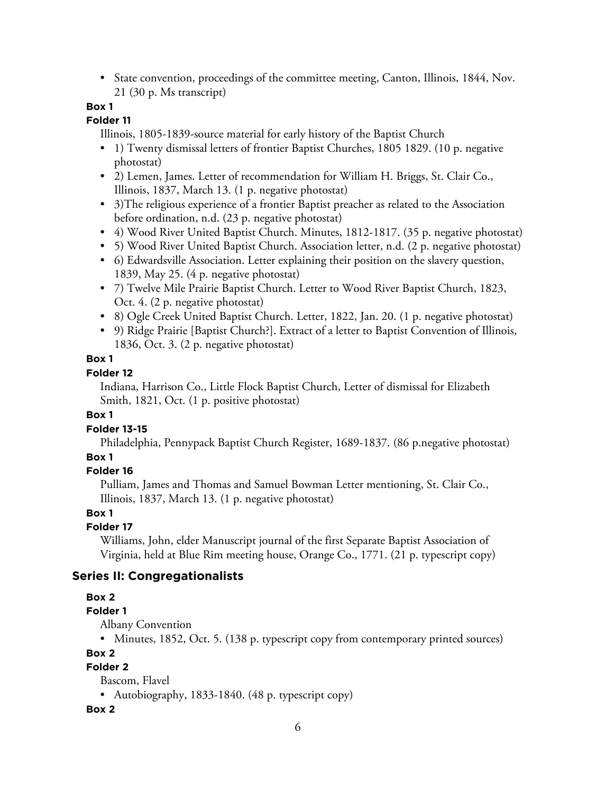• State convention, proceedings of the committee meeting, Canton, Illinois, 1844, Nov. 21 (30 p. Ms transcript)

# **Box 1**

## **Folder 11**

Illinois, 1805-1839-source material for early history of the Baptist Church

- 1) Twenty dismissal letters of frontier Baptist Churches, 1805 1829. (10 p. negative photostat)
- 2) Lemen, James. Letter of recommendation for William H. Briggs, St. Clair Co., Illinois, 1837, March 13. (1 p. negative photostat)
- 3)The religious experience of a frontier Baptist preacher as related to the Association before ordination, n.d. (23 p. negative photostat)
- 4) Wood River United Baptist Church. Minutes, 1812-1817. (35 p. negative photostat)
- 5) Wood River United Baptist Church. Association letter, n.d. (2 p. negative photostat)
- 6) Edwardsville Association. Letter explaining their position on the slavery question, 1839, May 25. (4 p. negative photostat)
- 7) Twelve Mile Prairie Baptist Church. Letter to Wood River Baptist Church, 1823, Oct. 4. (2 p. negative photostat)
- 8) Ogle Creek United Baptist Church. Letter, 1822, Jan. 20. (1 p. negative photostat)
- 9) Ridge Prairie [Baptist Church?]. Extract of a letter to Baptist Convention of Illinois, 1836, Oct. 3. (2 p. negative photostat)

## **Box 1**

# **Folder 12**

Indiana, Harrison Co., Little Flock Baptist Church, Letter of dismissal for Elizabeth Smith, 1821, Oct. (1 p. positive photostat)

## **Box 1**

# **Folder 13-15**

Philadelphia, Pennypack Baptist Church Register, 1689-1837. (86 p.negative photostat) **Box 1**

# **Folder 16**

Pulliam, James and Thomas and Samuel Bowman Letter mentioning, St. Clair Co., Illinois, 1837, March 13. (1 p. negative photostat)

## **Box 1**

# **Folder 17**

Williams, John, elder Manuscript journal of the first Separate Baptist Association of Virginia, held at Blue Rim meeting house, Orange Co., 1771. (21 p. typescript copy)

# **Series II: Congregationalists**

# **Box 2**

# **Folder 1**

Albany Convention

• Minutes, 1852, Oct. 5. (138 p. typescript copy from contemporary printed sources)

# **Box 2**

# **Folder 2**

Bascom, Flavel

• Autobiography, 1833-1840. (48 p. typescript copy)

# **Box 2**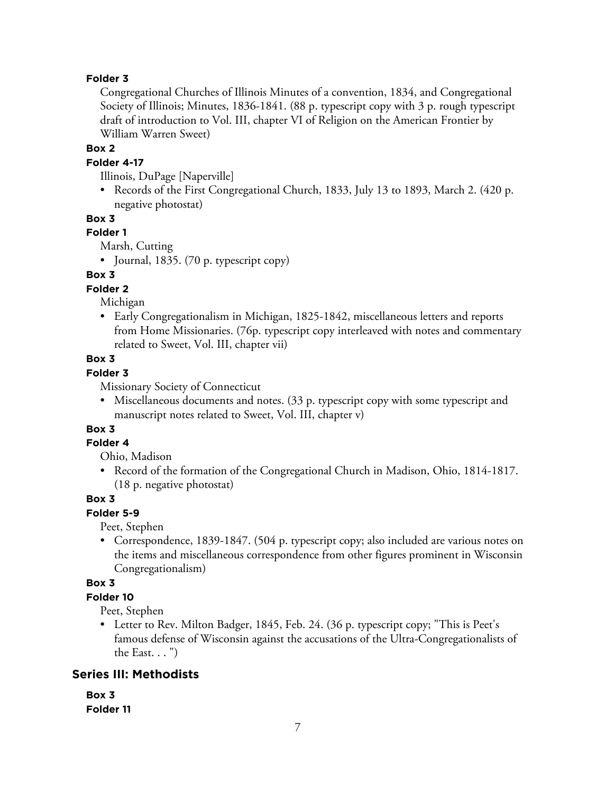## **Folder 3**

Congregational Churches of Illinois Minutes of a convention, 1834, and Congregational Society of Illinois; Minutes, 1836-1841. (88 p. typescript copy with 3 p. rough typescript draft of introduction to Vol. III, chapter VI of Religion on the American Frontier by William Warren Sweet)

#### **Box 2**

#### **Folder 4-17**

Illinois, DuPage [Naperville]

• Records of the First Congregational Church, 1833, July 13 to 1893, March 2. (420 p. negative photostat)

#### **Box 3**

#### **Folder 1**

Marsh, Cutting

• Journal, 1835. (70 p. typescript copy)

#### **Box 3**

#### **Folder 2**

Michigan

• Early Congregationalism in Michigan, 1825-1842, miscellaneous letters and reports from Home Missionaries. (76p. typescript copy interleaved with notes and commentary related to Sweet, Vol. III, chapter vii)

## **Box 3**

# **Folder 3**

Missionary Society of Connecticut

• Miscellaneous documents and notes. (33 p. typescript copy with some typescript and manuscript notes related to Sweet, Vol. III, chapter v)

# **Box 3**

# **Folder 4**

Ohio, Madison

• Record of the formation of the Congregational Church in Madison, Ohio, 1814-1817. (18 p. negative photostat)

#### **Box 3**

## **Folder 5-9**

Peet, Stephen

• Correspondence, 1839-1847. (504 p. typescript copy; also included are various notes on the items and miscellaneous correspondence from other figures prominent in Wisconsin Congregationalism)

#### **Box 3**

#### **Folder 10**

Peet, Stephen

• Letter to Rev. Milton Badger, 1845, Feb. 24. (36 p. typescript copy; "This is Peet's famous defense of Wisconsin against the accusations of the Ultra-Congregationalists of the East. . . ")

## **Series III: Methodists**

| Box 3     |  |
|-----------|--|
| Folder 11 |  |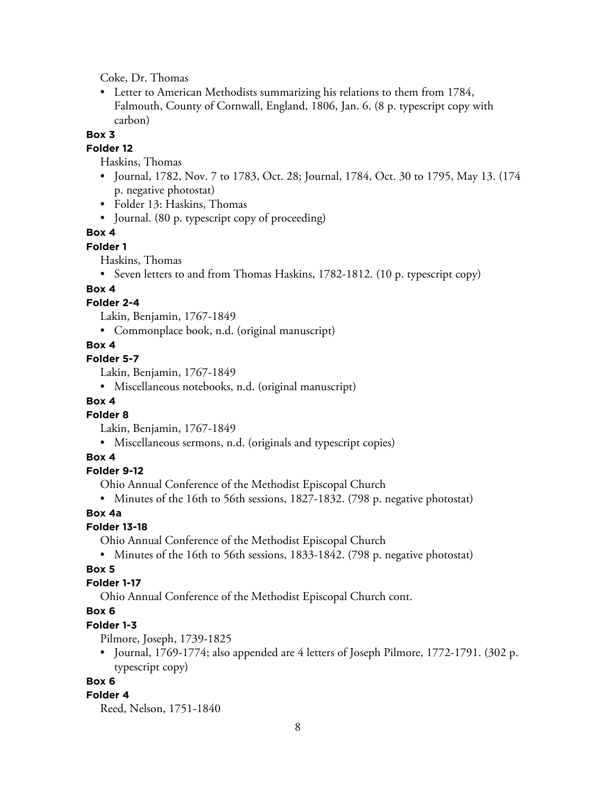Coke, Dr. Thomas

• Letter to American Methodists summarizing his relations to them from 1784, Falmouth, County of Cornwall, England, 1806, Jan. 6. (8 p. typescript copy with carbon)

#### **Box 3**

#### **Folder 12**

Haskins, Thomas

- Journal, 1782, Nov. 7 to 1783, Oct. 28; Journal, 1784, Oct. 30 to 1795, May 13. (174 p. negative photostat)
- Folder 13: Haskins, Thomas
- Journal. (80 p. typescript copy of proceeding)

## **Box 4**

#### **Folder 1**

Haskins, Thomas

• Seven letters to and from Thomas Haskins, 1782-1812. (10 p. typescript copy)

## **Box 4**

### **Folder 2-4**

Lakin, Benjamin, 1767-1849

• Commonplace book, n.d. (original manuscript)

## **Box 4**

# **Folder 5-7**

Lakin, Benjamin, 1767-1849

• Miscellaneous notebooks, n.d. (original manuscript)

### **Box 4**

#### **Folder 8**

Lakin, Benjamin, 1767-1849

• Miscellaneous sermons, n.d. (originals and typescript copies)

#### **Box 4**

#### **Folder 9-12**

Ohio Annual Conference of the Methodist Episcopal Church

• Minutes of the 16th to 56th sessions, 1827-1832. (798 p. negative photostat)

#### **Box 4a**

#### **Folder 13-18**

Ohio Annual Conference of the Methodist Episcopal Church

• Minutes of the 16th to 56th sessions, 1833-1842. (798 p. negative photostat)

## **Box 5**

## **Folder 1-17**

Ohio Annual Conference of the Methodist Episcopal Church cont.

# **Box 6**

## **Folder 1-3**

Pilmore, Joseph, 1739-1825

• Journal, 1769-1774; also appended are 4 letters of Joseph Pilmore, 1772-1791. (302 p. typescript copy)

#### **Box 6**

#### **Folder 4**

Reed, Nelson, 1751-1840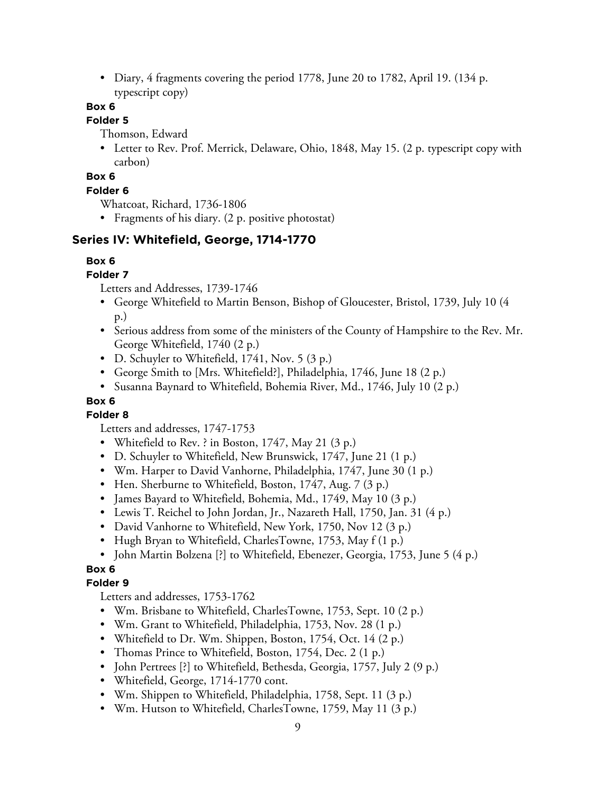• Diary, 4 fragments covering the period 1778, June 20 to 1782, April 19. (134 p.) typescript copy)

# **Box 6**

# **Folder 5**

Thomson, Edward

• Letter to Rev. Prof. Merrick, Delaware, Ohio, 1848, May 15. (2 p. typescript copy with carbon)

# **Box 6**

# **Folder 6**

Whatcoat, Richard, 1736-1806

• Fragments of his diary. (2 p. positive photostat)

# **Series IV: Whitefield, George, 1714-1770**

# **Box 6**

# **Folder 7**

Letters and Addresses, 1739-1746

- George Whitefield to Martin Benson, Bishop of Gloucester, Bristol, 1739, July 10 (4 p.)
- Serious address from some of the ministers of the County of Hampshire to the Rev. Mr. George Whitefield, 1740 (2 p.)
- D. Schuyler to Whitefield, 1741, Nov. 5 (3 p.)
- George Smith to [Mrs. Whitefield?], Philadelphia, 1746, June 18 (2 p.)
- Susanna Baynard to Whitefield, Bohemia River, Md., 1746, July 10 (2 p.)

# **Box 6**

# **Folder 8**

Letters and addresses, 1747-1753

- Whitefield to Rev. ? in Boston, 1747, May 21 (3 p.)
- D. Schuyler to Whitefield, New Brunswick, 1747, June 21 (1 p.)
- Wm. Harper to David Vanhorne, Philadelphia, 1747, June 30 (1 p.)
- Hen. Sherburne to Whitefield, Boston, 1747, Aug. 7 (3 p.)
- James Bayard to Whitefield, Bohemia, Md., 1749, May 10 (3 p.)
- Lewis T. Reichel to John Jordan, Jr., Nazareth Hall, 1750, Jan. 31 (4 p.)
- David Vanhorne to Whitefield, New York, 1750, Nov 12 (3 p.)
- Hugh Bryan to Whitefield, CharlesTowne, 1753, May f (1 p.)
- John Martin Bolzena [?] to Whitefield, Ebenezer, Georgia, 1753, June 5 (4 p.)

# **Box 6**

# **Folder 9**

Letters and addresses, 1753-1762

- Wm. Brisbane to Whitefield, CharlesTowne, 1753, Sept. 10 (2 p.)
- Wm. Grant to Whitefield, Philadelphia, 1753, Nov. 28 (1 p.)
- Whitefield to Dr. Wm. Shippen, Boston, 1754, Oct. 14 (2 p.)
- Thomas Prince to Whitefield, Boston, 1754, Dec. 2 (1 p.)
- John Pertrees [?] to Whitefield, Bethesda, Georgia, 1757, July 2 (9 p.)
- Whitefield, George, 1714-1770 cont.
- Wm. Shippen to Whitefield, Philadelphia, 1758, Sept. 11 (3 p.)
- Wm. Hutson to Whitefield, CharlesTowne, 1759, May 11 (3 p.)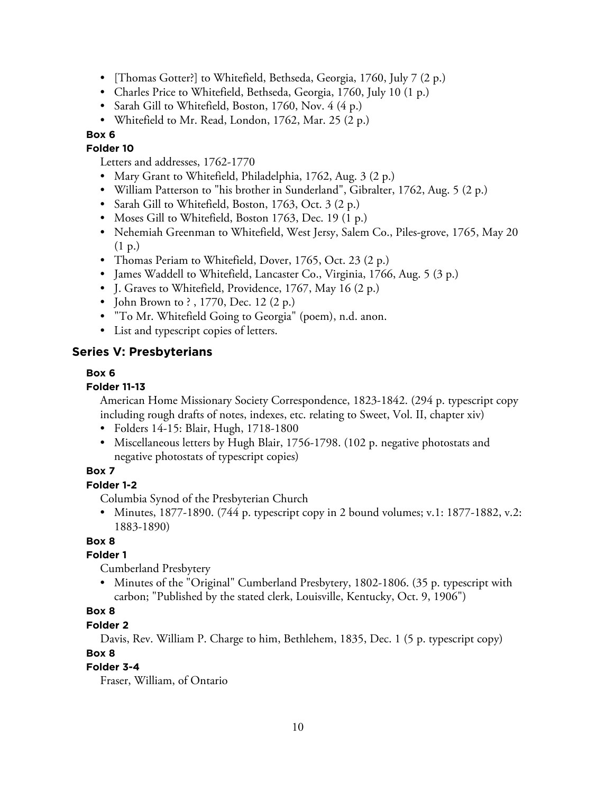- [Thomas Gotter?] to Whitefield, Bethseda, Georgia, 1760, July 7 (2 p.)
- Charles Price to Whitefield, Bethseda, Georgia, 1760, July 10 (1 p.)
- Sarah Gill to Whitefield, Boston, 1760, Nov. 4 (4 p.)
- Whitefield to Mr. Read, London, 1762, Mar. 25 (2 p.)

## **Box 6**

#### **Folder 10**

Letters and addresses, 1762-1770

- Mary Grant to Whitefield, Philadelphia, 1762, Aug. 3 (2 p.)
- William Patterson to "his brother in Sunderland", Gibralter, 1762, Aug. 5 (2 p.)
- Sarah Gill to Whitefield, Boston, 1763, Oct. 3 (2 p.)
- Moses Gill to Whitefield, Boston 1763, Dec. 19 (1 p.)
- Nehemiah Greenman to Whitefield, West Jersy, Salem Co., Piles-grove, 1765, May 20 (1 p.)
- Thomas Periam to Whitefield, Dover, 1765, Oct. 23 (2 p.)
- James Waddell to Whitefield, Lancaster Co., Virginia, 1766, Aug. 5 (3 p.)
- J. Graves to Whitefield, Providence, 1767, May 16 (2 p.)
- John Brown to ?, 1770, Dec. 12 (2 p.)
- "To Mr. Whitefield Going to Georgia" (poem), n.d. anon.
- List and typescript copies of letters.

## **Series V: Presbyterians**

#### **Box 6**

#### **Folder 11-13**

American Home Missionary Society Correspondence, 1823-1842. (294 p. typescript copy including rough drafts of notes, indexes, etc. relating to Sweet, Vol. II, chapter xiv)

- Folders 14-15: Blair, Hugh, 1718-1800
- Miscellaneous letters by Hugh Blair, 1756-1798. (102 p. negative photostats and negative photostats of typescript copies)

#### **Box 7**

#### **Folder 1-2**

Columbia Synod of the Presbyterian Church

• Minutes, 1877-1890. (744 p. typescript copy in 2 bound volumes; v.1: 1877-1882, v.2: 1883-1890)

## **Box 8**

#### **Folder 1**

Cumberland Presbytery

• Minutes of the "Original" Cumberland Presbytery, 1802-1806. (35 p. typescript with carbon; "Published by the stated clerk, Louisville, Kentucky, Oct. 9, 1906")

# **Box 8**

#### **Folder 2**

Davis, Rev. William P. Charge to him, Bethlehem, 1835, Dec. 1 (5 p. typescript copy)

## **Box 8**

# **Folder 3-4**

Fraser, William, of Ontario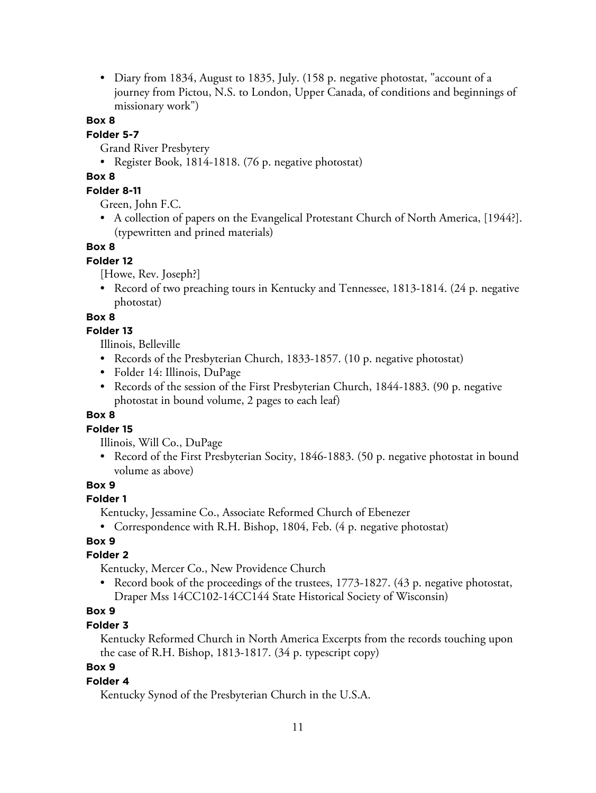• Diary from 1834, August to 1835, July. (158 p. negative photostat, "account of a journey from Pictou, N.S. to London, Upper Canada, of conditions and beginnings of missionary work")

#### **Box 8**

## **Folder 5-7**

Grand River Presbytery

• Register Book, 1814-1818. (76 p. negative photostat)

## **Box 8**

## **Folder 8-11**

Green, John F.C.

• A collection of papers on the Evangelical Protestant Church of North America, [1944?]. (typewritten and prined materials)

## **Box 8**

## **Folder 12**

[Howe, Rev. Joseph?]

• Record of two preaching tours in Kentucky and Tennessee, 1813-1814. (24 p. negative photostat)

## **Box 8**

## **Folder 13**

Illinois, Belleville

- Records of the Presbyterian Church, 1833-1857. (10 p. negative photostat)
- Folder 14: Illinois, DuPage
- Records of the session of the First Presbyterian Church, 1844-1883. (90 p. negative photostat in bound volume, 2 pages to each leaf)

## **Box 8**

## **Folder 15**

Illinois, Will Co., DuPage

• Record of the First Presbyterian Socity, 1846-1883. (50 p. negative photostat in bound volume as above)

## **Box 9**

## **Folder 1**

Kentucky, Jessamine Co., Associate Reformed Church of Ebenezer

• Correspondence with R.H. Bishop, 1804, Feb. (4 p. negative photostat)

# **Box 9**

## **Folder 2**

Kentucky, Mercer Co., New Providence Church

• Record book of the proceedings of the trustees, 1773-1827. (43 p. negative photostat, Draper Mss 14CC102-14CC144 State Historical Society of Wisconsin)

# **Box 9**

# **Folder 3**

Kentucky Reformed Church in North America Excerpts from the records touching upon the case of R.H. Bishop, 1813-1817. (34 p. typescript copy)

# **Box 9**

## **Folder 4**

Kentucky Synod of the Presbyterian Church in the U.S.A.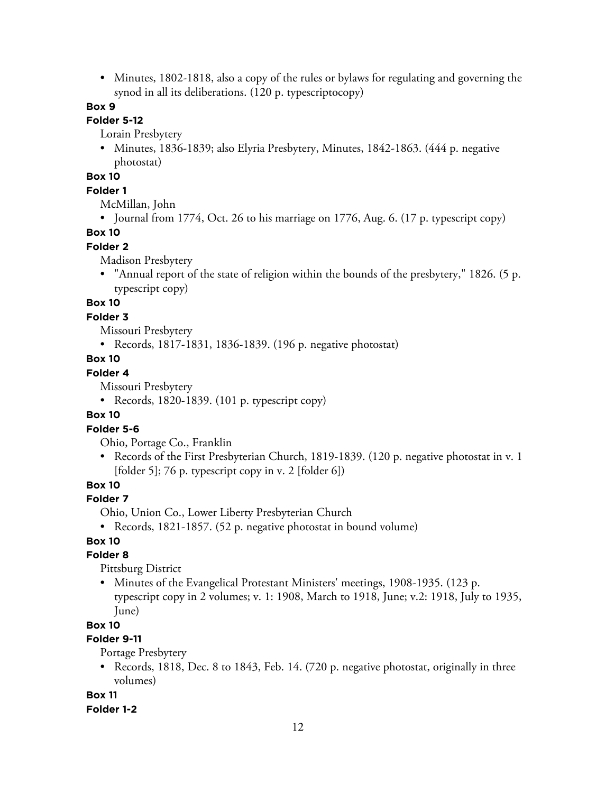• Minutes, 1802-1818, also a copy of the rules or bylaws for regulating and governing the synod in all its deliberations. (120 p. typescriptocopy)

## **Box 9**

# **Folder 5-12**

Lorain Presbytery

• Minutes, 1836-1839; also Elyria Presbytery, Minutes, 1842-1863. (444 p. negative photostat)

## **Box 10**

#### **Folder 1**

McMillan, John

• Journal from 1774, Oct. 26 to his marriage on 1776, Aug. 6. (17 p. typescript copy)

# **Box 10**

# **Folder 2**

Madison Presbytery

• "Annual report of the state of religion within the bounds of the presbytery," 1826. (5 p. typescript copy)

# **Box 10**

#### **Folder 3**

Missouri Presbytery

• Records, 1817-1831, 1836-1839. (196 p. negative photostat)

#### **Box 10**

## **Folder 4**

Missouri Presbytery

• Records, 1820-1839. (101 p. typescript copy)

#### **Box 10**

#### **Folder 5-6**

Ohio, Portage Co., Franklin

• Records of the First Presbyterian Church, 1819-1839. (120 p. negative photostat in v. 1  $[folder 5]$ ; 76 p. typescript copy in v. 2  $[folder 6]$ )

# **Box 10**

#### **Folder 7**

Ohio, Union Co., Lower Liberty Presbyterian Church

• Records, 1821-1857. (52 p. negative photostat in bound volume)

# **Box 10**

#### **Folder 8**

Pittsburg District

• Minutes of the Evangelical Protestant Ministers' meetings, 1908-1935. (123 p. typescript copy in 2 volumes; v. 1: 1908, March to 1918, June; v.2: 1918, July to 1935, June)

### **Box 10**

## **Folder 9-11**

Portage Presbytery

• Records, 1818, Dec. 8 to 1843, Feb. 14. (720 p. negative photostat, originally in three volumes)

#### **Box 11**

#### **Folder 1-2**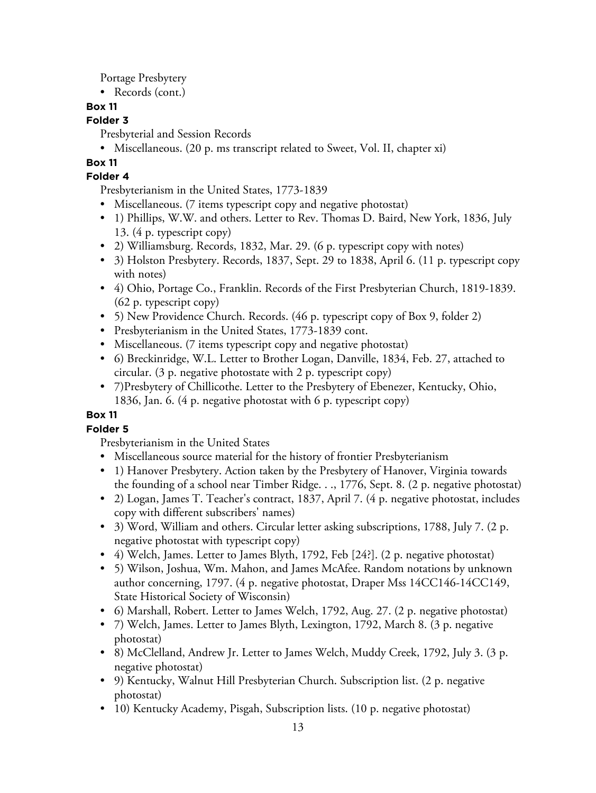Portage Presbytery

• Records (cont.)

# **Box 11**

# **Folder 3**

Presbyterial and Session Records

• Miscellaneous. (20 p. ms transcript related to Sweet, Vol. II, chapter xi)

# **Box 11**

# **Folder 4**

Presbyterianism in the United States, 1773-1839

- Miscellaneous. (7 items typescript copy and negative photostat)
- 1) Phillips, W.W. and others. Letter to Rev. Thomas D. Baird, New York, 1836, July 13. (4 p. typescript copy)
- 2) Williamsburg. Records, 1832, Mar. 29. (6 p. typescript copy with notes)
- 3) Holston Presbytery. Records, 1837, Sept. 29 to 1838, April 6. (11 p. typescript copy with notes)
- 4) Ohio, Portage Co., Franklin. Records of the First Presbyterian Church, 1819-1839. (62 p. typescript copy)
- 5) New Providence Church. Records. (46 p. typescript copy of Box 9, folder 2)
- Presbyterianism in the United States, 1773-1839 cont.
- Miscellaneous. (7 items typescript copy and negative photostat)
- 6) Breckinridge, W.L. Letter to Brother Logan, Danville, 1834, Feb. 27, attached to circular. (3 p. negative photostate with 2 p. typescript copy)
- 7)Presbytery of Chillicothe. Letter to the Presbytery of Ebenezer, Kentucky, Ohio, 1836, Jan. 6. (4 p. negative photostat with 6 p. typescript copy)

# **Box 11**

# **Folder 5**

Presbyterianism in the United States

- Miscellaneous source material for the history of frontier Presbyterianism
- 1) Hanover Presbytery. Action taken by the Presbytery of Hanover, Virginia towards the founding of a school near Timber Ridge. . ., 1776, Sept. 8. (2 p. negative photostat)
- 2) Logan, James T. Teacher's contract, 1837, April 7. (4 p. negative photostat, includes copy with different subscribers' names)
- 3) Word, William and others. Circular letter asking subscriptions, 1788, July 7. (2 p. negative photostat with typescript copy)
- 4) Welch, James. Letter to James Blyth, 1792, Feb [24?]. (2 p. negative photostat)
- 5) Wilson, Joshua, Wm. Mahon, and James McAfee. Random notations by unknown author concerning, 1797. (4 p. negative photostat, Draper Mss 14CC146-14CC149, State Historical Society of Wisconsin)
- 6) Marshall, Robert. Letter to James Welch, 1792, Aug. 27. (2 p. negative photostat)
- 7) Welch, James. Letter to James Blyth, Lexington, 1792, March 8. (3 p. negative photostat)
- 8) McClelland, Andrew Jr. Letter to James Welch, Muddy Creek, 1792, July 3. (3 p. negative photostat)
- 9) Kentucky, Walnut Hill Presbyterian Church. Subscription list. (2 p. negative photostat)
- 10) Kentucky Academy, Pisgah, Subscription lists. (10 p. negative photostat)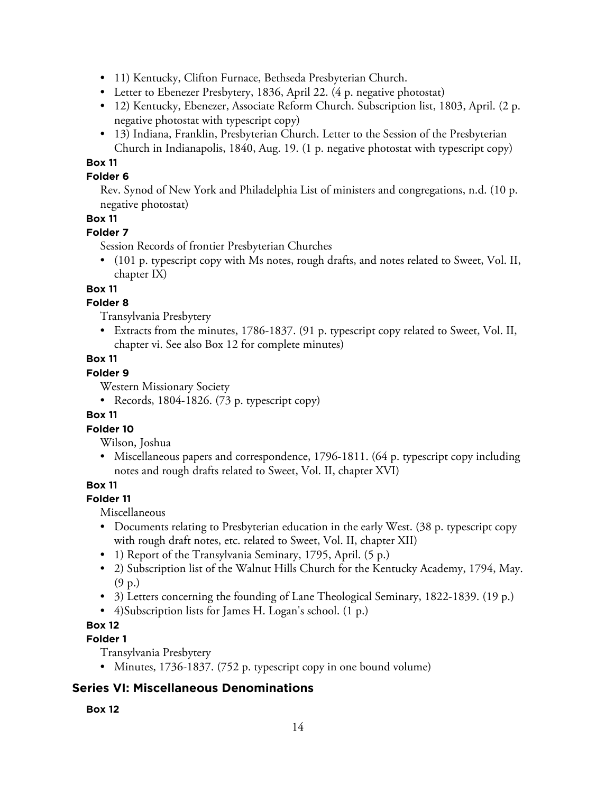- 11) Kentucky, Clifton Furnace, Bethseda Presbyterian Church.
- Letter to Ebenezer Presbytery, 1836, April 22. (4 p. negative photostat)
- 12) Kentucky, Ebenezer, Associate Reform Church. Subscription list, 1803, April. (2 p. negative photostat with typescript copy)
- 13) Indiana, Franklin, Presbyterian Church. Letter to the Session of the Presbyterian Church in Indianapolis, 1840, Aug. 19. (1 p. negative photostat with typescript copy)

# **Box 11**

## **Folder 6**

Rev. Synod of New York and Philadelphia List of ministers and congregations, n.d. (10 p. negative photostat)

## **Box 11**

## **Folder 7**

Session Records of frontier Presbyterian Churches

• (101 p. typescript copy with Ms notes, rough drafts, and notes related to Sweet, Vol. II, chapter IX)

## **Box 11**

## **Folder 8**

Transylvania Presbytery

• Extracts from the minutes, 1786-1837. (91 p. typescript copy related to Sweet, Vol. II, chapter vi. See also Box 12 for complete minutes)

## **Box 11**

## **Folder 9**

Western Missionary Society

• Records, 1804-1826. (73 p. typescript copy)

## **Box 11**

## **Folder 10**

- Wilson, Joshua
- Miscellaneous papers and correspondence, 1796-1811. (64 p. typescript copy including notes and rough drafts related to Sweet, Vol. II, chapter XVI)

## **Box 11**

## **Folder 11**

Miscellaneous

- Documents relating to Presbyterian education in the early West. (38 p. typescript copy with rough draft notes, etc. related to Sweet, Vol. II, chapter XII)
- 1) Report of the Transylvania Seminary, 1795, April. (5 p.)
- 2) Subscription list of the Walnut Hills Church for the Kentucky Academy, 1794, May. (9 p.)
- 3) Letters concerning the founding of Lane Theological Seminary, 1822-1839. (19 p.)
- 4)Subscription lists for James H. Logan's school. (1 p.)

# **Box 12**

# **Folder 1**

Transylvania Presbytery

• Minutes, 1736-1837. (752 p. typescript copy in one bound volume)

# **Series VI: Miscellaneous Denominations**

## **Box 12**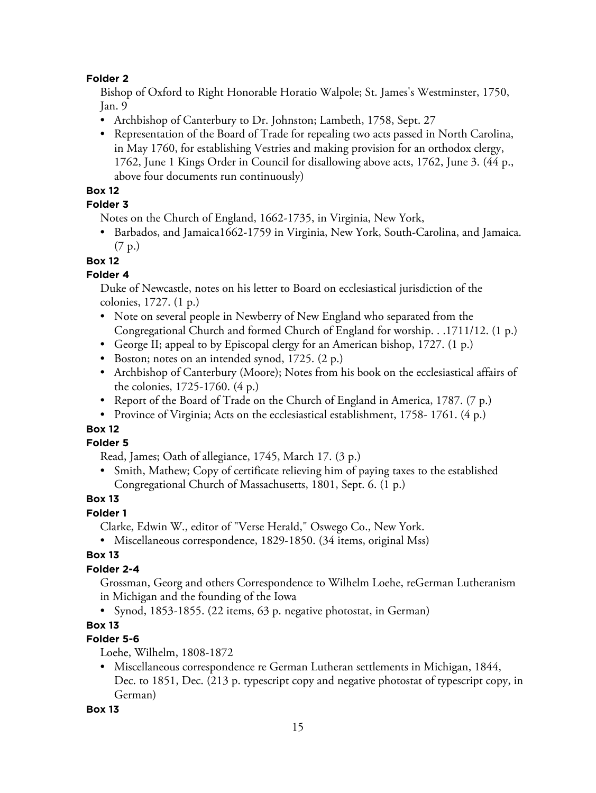#### **Folder 2**

Bishop of Oxford to Right Honorable Horatio Walpole; St. James's Westminster, 1750, Jan. 9

- Archbishop of Canterbury to Dr. Johnston; Lambeth, 1758, Sept. 27
- Representation of the Board of Trade for repealing two acts passed in North Carolina, in May 1760, for establishing Vestries and making provision for an orthodox clergy, 1762, June 1 Kings Order in Council for disallowing above acts, 1762, June 3. (44 p., above four documents run continuously)

## **Box 12**

## **Folder 3**

Notes on the Church of England, 1662-1735, in Virginia, New York,

• Barbados, and Jamaica1662-1759 in Virginia, New York, South-Carolina, and Jamaica. (7 p.)

**Box 12**

## **Folder 4**

Duke of Newcastle, notes on his letter to Board on ecclesiastical jurisdiction of the colonies, 1727. (1 p.)

- Note on several people in Newberry of New England who separated from the Congregational Church and formed Church of England for worship. . .1711/12. (1 p.)
- George II; appeal to by Episcopal clergy for an American bishop, 1727. (1 p.)
- Boston; notes on an intended synod, 1725. (2 p.)
- Archbishop of Canterbury (Moore); Notes from his book on the ecclesiastical affairs of the colonies, 1725-1760. (4 p.)
- Report of the Board of Trade on the Church of England in America, 1787. (7 p.)
- Province of Virginia; Acts on the ecclesiastical establishment, 1758-1761. (4 p.)

# **Box 12**

## **Folder 5**

Read, James; Oath of allegiance, 1745, March 17. (3 p.)

• Smith, Mathew; Copy of certificate relieving him of paying taxes to the established Congregational Church of Massachusetts, 1801, Sept. 6. (1 p.)

# **Box 13**

## **Folder 1**

Clarke, Edwin W., editor of "Verse Herald," Oswego Co., New York.

• Miscellaneous correspondence, 1829-1850. (34 items, original Mss)

# **Box 13**

# **Folder 2-4**

Grossman, Georg and others Correspondence to Wilhelm Loehe, reGerman Lutheranism in Michigan and the founding of the Iowa

• Synod, 1853-1855. (22 items, 63 p. negative photostat, in German)

# **Box 13**

# **Folder 5-6**

Loehe, Wilhelm, 1808-1872

• Miscellaneous correspondence re German Lutheran settlements in Michigan, 1844, Dec. to 1851, Dec. (213 p. typescript copy and negative photostat of typescript copy, in German)

## **Box 13**